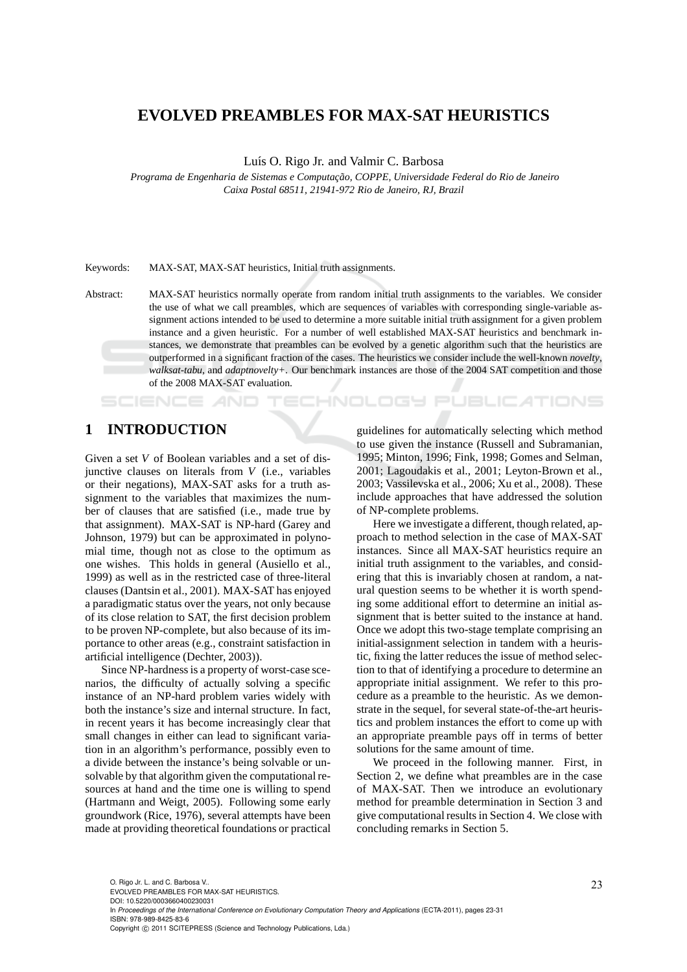# **EVOLVED PREAMBLES FOR MAX-SAT HEURISTICS**

Luís O. Rigo Jr. and Valmir C. Barbosa

*Programa de Engenharia de Sistemas e Computac¸ ˜ao, COPPE, Universidade Federal do Rio de Janeiro Caixa Postal 68511, 21941-972 Rio de Janeiro, RJ, Brazil*

#### Keywords: MAX-SAT, MAX-SAT heuristics, Initial truth assignments.

Abstract: MAX-SAT heuristics normally operate from random initial truth assignments to the variables. We consider the use of what we call preambles, which are sequences of variables with corresponding single-variable assignment actions intended to be used to determine a more suitable initial truth assignment for a given problem instance and a given heuristic. For a number of well established MAX-SAT heuristics and benchmark instances, we demonstrate that preambles can be evolved by a genetic algorithm such that the heuristics are outperformed in a significant fraction of the cases. The heuristics we consider include the well-known *novelty*, *walksat-tabu*, and *adaptnovelty+*. Our benchmark instances are those of the 2004 SAT competition and those of the 2008 MAX-SAT evaluation.

HNOLOGY

# **1 INTRODUCTION**

SCIENCE *AND* 

Given a set *V* of Boolean variables and a set of disjunctive clauses on literals from *V* (i.e., variables or their negations), MAX-SAT asks for a truth assignment to the variables that maximizes the number of clauses that are satisfied (i.e., made true by that assignment). MAX-SAT is NP-hard (Garey and Johnson, 1979) but can be approximated in polynomial time, though not as close to the optimum as one wishes. This holds in general (Ausiello et al., 1999) as well as in the restricted case of three-literal clauses (Dantsin et al., 2001). MAX-SAT has enjoyed a paradigmatic status over the years, not only because of its close relation to SAT, the first decision problem to be proven NP-complete, but also because of its importance to other areas (e.g., constraint satisfaction in artificial intelligence (Dechter, 2003)).

Since NP-hardness is a property of worst-case scenarios, the difficulty of actually solving a specific instance of an NP-hard problem varies widely with both the instance's size and internal structure. In fact, in recent years it has become increasingly clear that small changes in either can lead to significant variation in an algorithm's performance, possibly even to a divide between the instance's being solvable or unsolvable by that algorithm given the computational resources at hand and the time one is willing to spend (Hartmann and Weigt, 2005). Following some early groundwork (Rice, 1976), several attempts have been made at providing theoretical foundations or practical guidelines for automatically selecting which method to use given the instance (Russell and Subramanian, 1995; Minton, 1996; Fink, 1998; Gomes and Selman, 2001; Lagoudakis et al., 2001; Leyton-Brown et al., 2003; Vassilevska et al., 2006; Xu et al., 2008). These include approaches that have addressed the solution of NP-complete problems.

**PUBLICATIONS** 

Here we investigate a different, though related, approach to method selection in the case of MAX-SAT instances. Since all MAX-SAT heuristics require an initial truth assignment to the variables, and considering that this is invariably chosen at random, a natural question seems to be whether it is worth spending some additional effort to determine an initial assignment that is better suited to the instance at hand. Once we adopt this two-stage template comprising an initial-assignment selection in tandem with a heuristic, fixing the latter reduces the issue of method selection to that of identifying a procedure to determine an appropriate initial assignment. We refer to this procedure as a preamble to the heuristic. As we demonstrate in the sequel, for several state-of-the-art heuristics and problem instances the effort to come up with an appropriate preamble pays off in terms of better solutions for the same amount of time.

We proceed in the following manner. First, in Section 2, we define what preambles are in the case of MAX-SAT. Then we introduce an evolutionary method for preamble determination in Section 3 and give computational results in Section 4. We close with concluding remarks in Section 5.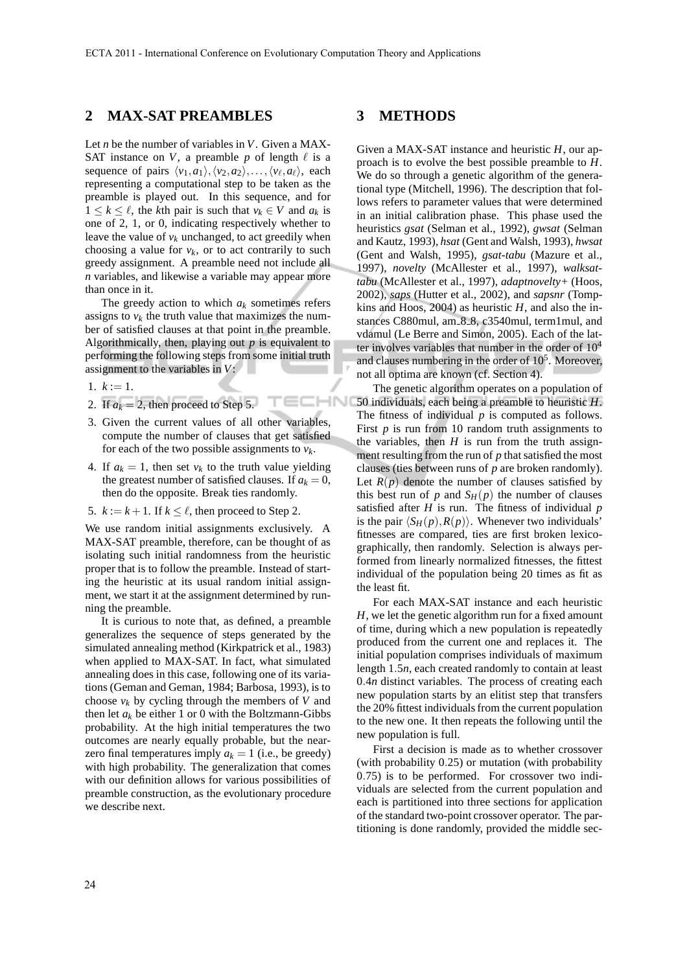$HNI$ 

# **2 MAX-SAT PREAMBLES**

Let *n* be the number of variables in *V*. Given a MAX-SAT instance on *V*, a preamble *p* of length  $\ell$  is a sequence of pairs  $\langle v_1, a_1 \rangle, \langle v_2, a_2 \rangle, \ldots, \langle v_\ell, a_\ell \rangle$ , each representing a computational step to be taken as the preamble is played out. In this sequence, and for  $1 \leq k \leq \ell$ , the *k*th pair is such that  $v_k \in V$  and  $a_k$  is one of 2, 1, or 0, indicating respectively whether to leave the value of  $v_k$  unchanged, to act greedily when choosing a value for  $v_k$ , or to act contrarily to such greedy assignment. A preamble need not include all *n* variables, and likewise a variable may appear more than once in it.

The greedy action to which  $a_k$  sometimes refers assigns to  $v_k$  the truth value that maximizes the number of satisfied clauses at that point in the preamble. Algorithmically, then, playing out *p* is equivalent to performing the following steps from some initial truth assignment to the variables in *V*:

- 1.  $k := 1$ .
- 2. If  $a_k = 2$ , then proceed to Step 5.
- 3. Given the current values of all other variables, compute the number of clauses that get satisfied for each of the two possible assignments to  $v_k$ .
- 4. If  $a_k = 1$ , then set  $v_k$  to the truth value yielding the greatest number of satisfied clauses. If  $a_k = 0$ , then do the opposite. Break ties randomly.
- 5.  $k := k + 1$ . If  $k \leq \ell$ , then proceed to Step 2.

We use random initial assignments exclusively. A MAX-SAT preamble, therefore, can be thought of as isolating such initial randomness from the heuristic proper that is to follow the preamble. Instead of starting the heuristic at its usual random initial assignment, we start it at the assignment determined by running the preamble.

It is curious to note that, as defined, a preamble generalizes the sequence of steps generated by the simulated annealing method (Kirkpatrick et al., 1983) when applied to MAX-SAT. In fact, what simulated annealing does in this case, following one of its variations (Geman and Geman, 1984; Barbosa, 1993), is to choose  $v_k$  by cycling through the members of *V* and then let  $a_k$  be either 1 or 0 with the Boltzmann-Gibbs probability. At the high initial temperatures the two outcomes are nearly equally probable, but the nearzero final temperatures imply  $a_k = 1$  (i.e., be greedy) with high probability. The generalization that comes with our definition allows for various possibilities of preamble construction, as the evolutionary procedure we describe next.

### **3 METHODS**

Given a MAX-SAT instance and heuristic *H*, our approach is to evolve the best possible preamble to *H*. We do so through a genetic algorithm of the generational type (Mitchell, 1996). The description that follows refers to parameter values that were determined in an initial calibration phase. This phase used the heuristics *gsat* (Selman et al., 1992), *gwsat* (Selman and Kautz, 1993), *hsat* (Gent and Walsh, 1993), *hwsat* (Gent and Walsh, 1995), *gsat-tabu* (Mazure et al., 1997), *novelty* (McAllester et al., 1997), *walksattabu* (McAllester et al., 1997), *adaptnovelty+* (Hoos, 2002), *saps* (Hutter et al., 2002), and *sapsnr* (Tompkins and Hoos, 2004) as heuristic  $H$ , and also the instances C880mul, am 8.8, c3540mul, term1mul, and vdamul (Le Berre and Simon, 2005). Each of the latter involves variables that number in the order of  $10<sup>4</sup>$ and clauses numbering in the order of  $10<sup>5</sup>$ . Moreover, not all optima are known (cf. Section 4).

The genetic algorithm operates on a population of 50 individuals, each being a preamble to heuristic *H*. The fitness of individual *p* is computed as follows. First  $p$  is run from 10 random truth assignments to the variables, then  $H$  is run from the truth assignment resulting from the run of *p* that satisfied the most clauses (ties between runs of *p* are broken randomly). Let  $R(p)$  denote the number of clauses satisfied by this best run of *p* and  $S_H(p)$  the number of clauses satisfied after *H* is run. The fitness of individual *p* is the pair  $\langle S_H(p), R(p) \rangle$ . Whenever two individuals' fitnesses are compared, ties are first broken lexicographically, then randomly. Selection is always performed from linearly normalized fitnesses, the fittest individual of the population being 20 times as fit as the least fit.

For each MAX-SAT instance and each heuristic *H*, we let the genetic algorithm run for a fixed amount of time, during which a new population is repeatedly produced from the current one and replaces it. The initial population comprises individuals of maximum length 1.5*n*, each created randomly to contain at least 0.4*n* distinct variables. The process of creating each new population starts by an elitist step that transfers the 20% fittest individuals from the current population to the new one. It then repeats the following until the new population is full.

First a decision is made as to whether crossover (with probability 0.25) or mutation (with probability 0.75) is to be performed. For crossover two individuals are selected from the current population and each is partitioned into three sections for application of the standard two-point crossover operator. The partitioning is done randomly, provided the middle sec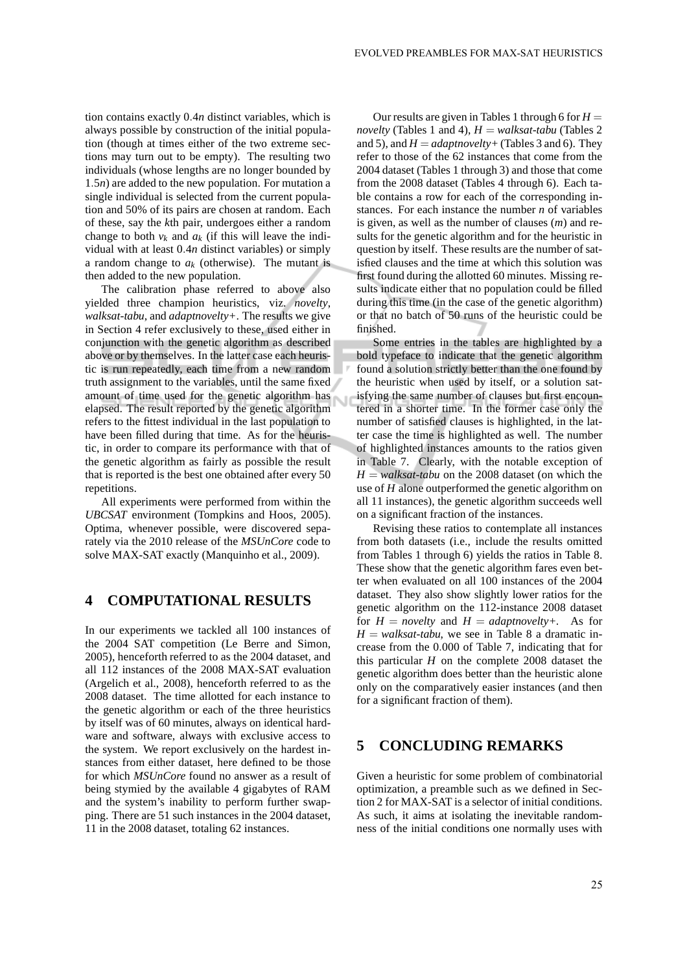tion contains exactly 0.4*n* distinct variables, which is always possible by construction of the initial population (though at times either of the two extreme sections may turn out to be empty). The resulting two individuals (whose lengths are no longer bounded by 1.5*n*) are added to the new population. For mutation a single individual is selected from the current population and 50% of its pairs are chosen at random. Each of these, say the *k*th pair, undergoes either a random change to both  $v_k$  and  $a_k$  (if this will leave the individual with at least 0.4*n* distinct variables) or simply a random change to  $a_k$  (otherwise). The mutant is then added to the new population.

The calibration phase referred to above also yielded three champion heuristics, viz. *novelty*, *walksat-tabu*, and *adaptnovelty+*. The results we give in Section 4 refer exclusively to these, used either in conjunction with the genetic algorithm as described above or by themselves. In the latter case each heuristic is run repeatedly, each time from a new random truth assignment to the variables, until the same fixed amount of time used for the genetic algorithm has elapsed. The result reported by the genetic algorithm refers to the fittest individual in the last population to have been filled during that time. As for the heuristic, in order to compare its performance with that of the genetic algorithm as fairly as possible the result that is reported is the best one obtained after every 50 repetitions.

Ñ

All experiments were performed from within the *UBCSAT* environment (Tompkins and Hoos, 2005). Optima, whenever possible, were discovered separately via the 2010 release of the *MSUnCore* code to solve MAX-SAT exactly (Manquinho et al., 2009).

# **4 COMPUTATIONAL RESULTS**

In our experiments we tackled all 100 instances of the 2004 SAT competition (Le Berre and Simon, 2005), henceforth referred to as the 2004 dataset, and all 112 instances of the 2008 MAX-SAT evaluation (Argelich et al., 2008), henceforth referred to as the 2008 dataset. The time allotted for each instance to the genetic algorithm or each of the three heuristics by itself was of 60 minutes, always on identical hardware and software, always with exclusive access to the system. We report exclusively on the hardest instances from either dataset, here defined to be those for which *MSUnCore* found no answer as a result of being stymied by the available 4 gigabytes of RAM and the system's inability to perform further swapping. There are 51 such instances in the 2004 dataset, 11 in the 2008 dataset, totaling 62 instances.

Our results are given in Tables 1 through 6 for  $H =$ *novelty* (Tables 1 and 4), *H* = *walksat-tabu* (Tables 2 and 5), and  $H = adapt novelty + (Tables 3 and 6)$ . They refer to those of the 62 instances that come from the 2004 dataset (Tables 1 through 3) and those that come from the 2008 dataset (Tables 4 through 6). Each table contains a row for each of the corresponding instances. For each instance the number *n* of variables is given, as well as the number of clauses (*m*) and results for the genetic algorithm and for the heuristic in question by itself. These results are the number of satisfied clauses and the time at which this solution was first found during the allotted 60 minutes. Missing results indicate either that no population could be filled during this time (in the case of the genetic algorithm) or that no batch of 50 runs of the heuristic could be finished.

Some entries in the tables are highlighted by a bold typeface to indicate that the genetic algorithm found a solution strictly better than the one found by the heuristic when used by itself, or a solution satisfying the same number of clauses but first encountered in a shorter time. In the former case only the number of satisfied clauses is highlighted, in the latter case the time is highlighted as well. The number of highlighted instances amounts to the ratios given in Table 7. Clearly, with the notable exception of  $H = walk sat$ -tabu on the 2008 dataset (on which the use of *H* alone outperformed the genetic algorithm on all 11 instances), the genetic algorithm succeeds well on a significant fraction of the instances.

Revising these ratios to contemplate all instances from both datasets (i.e., include the results omitted from Tables 1 through 6) yields the ratios in Table 8. These show that the genetic algorithm fares even better when evaluated on all 100 instances of the 2004 dataset. They also show slightly lower ratios for the genetic algorithm on the 112-instance 2008 dataset for  $H = n \omega l t y$  and  $H = a \omega l t n \omega l t y + A s$  for  $H = walk sat-tabu$ , we see in Table 8 a dramatic increase from the 0.000 of Table 7, indicating that for this particular *H* on the complete 2008 dataset the genetic algorithm does better than the heuristic alone only on the comparatively easier instances (and then for a significant fraction of them).

# **5 CONCLUDING REMARKS**

Given a heuristic for some problem of combinatorial optimization, a preamble such as we defined in Section 2 for MAX-SAT is a selector of initial conditions. As such, it aims at isolating the inevitable randomness of the initial conditions one normally uses with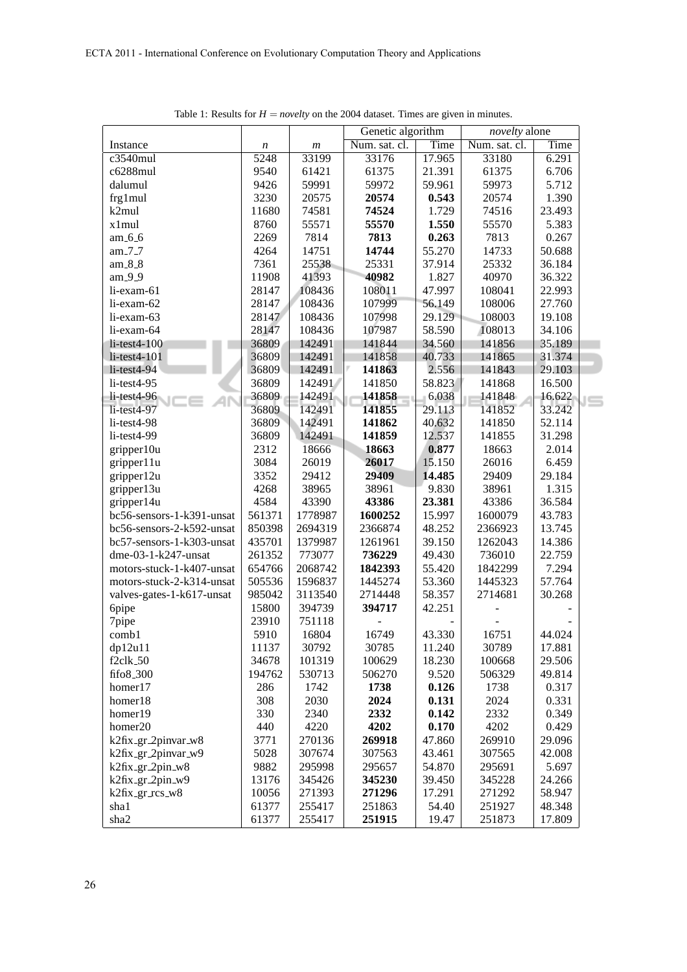|                           |        |                  | Genetic algorithm |        | novelty alone |        |                |
|---------------------------|--------|------------------|-------------------|--------|---------------|--------|----------------|
| Instance                  | n      | $\boldsymbol{m}$ | Num. sat. cl.     | Time   | Num. sat. cl. | Time   |                |
| $c3540$ mul               | 5248   | 33199            | 33176             | 17.965 | 33180         | 6.291  |                |
| c6288mul                  | 9540   | 61421            | 61375             | 21.391 | 61375         | 6.706  |                |
| dalumul                   | 9426   | 59991            | 59972             | 59.961 | 59973         | 5.712  |                |
| frg1mul                   | 3230   | 20575            | 20574             | 0.543  | 20574         | 1.390  |                |
| k2mul                     | 11680  | 74581            | 74524             | 1.729  | 74516         | 23.493 |                |
| x1mul                     | 8760   | 55571            | 55570             | 1.550  | 55570         | 5.383  |                |
| am 6.6                    | 2269   | 7814             | 7813              | 0.263  | 7813          | 0.267  |                |
| am 7.7                    | 4264   | 14751            | 14744             | 55.270 | 14733         | 50.688 |                |
| am_8_8                    | 7361   | 25538            | 25331             | 37.914 | 25332         | 36.184 |                |
| am 9.9                    | 11908  | 41393            | 40982             | 1.827  | 40970         | 36.322 |                |
| li-exam-61                | 28147  | 108436           | 108011            | 47.997 | 108041        | 22.993 |                |
| li-exam-62                | 28147  | 108436           | 107999            | 56.149 | 108006        | 27.760 |                |
| li-exam-63                | 28147  | 108436           | 107998            | 29.129 | 108003        | 19.108 |                |
| li-exam-64                | 28147  | 108436           | 107987            | 58.590 | 108013        | 34.106 |                |
| $li$ -test $4-100$        | 36809  | 142491           | 141844            | 34.560 | 141856        | 35.189 |                |
| $li$ -test $4-101$        | 36809  | 142491           | 141858            | 40.733 | 141865        | 31.374 |                |
| $li$ -test $4-94$         | 36809  | 142491           | 141863            | 2.556  | 141843        | 29.103 |                |
| $li-test4-95$             | 36809  | 142491           | 141850            | 58.823 | 141868        | 16.500 |                |
| $li$ -test $4-96$         | 36809  | 142491           | 141858            | 6.038  | 141848        | 16.622 | $\blacksquare$ |
| $li-test4-97$             | 36809  | 142491           | 141855            | 29.113 | 141852        | 33.242 |                |
| $li-test4-98$             | 36809  | 142491           | 141862            | 40.632 | 141850        | 52.114 |                |
| li-test4-99               | 36809  | 142491           | 141859            | 12.537 | 141855        | 31.298 |                |
| gripper10u                | 2312   | 18666            | 18663             | 0.877  | 18663         | 2.014  |                |
| gripper11u                | 3084   | 26019            | 26017             | 15.150 | 26016         | 6.459  |                |
| gripper12u                | 3352   | 29412            | 29409             | 14.485 | 29409         | 29.184 |                |
| gripper13u                | 4268   | 38965            | 38961             | 9.830  | 38961         | 1.315  |                |
| gripper14u                | 4584   | 43390            | 43386             | 23.381 | 43386         | 36.584 |                |
| bc56-sensors-1-k391-unsat | 561371 | 1778987          | 1600252           | 15.997 | 1600079       | 43.783 |                |
| bc56-sensors-2-k592-unsat | 850398 | 2694319          | 2366874           | 48.252 | 2366923       | 13.745 |                |
| bc57-sensors-1-k303-unsat | 435701 | 1379987          | 1261961           | 39.150 | 1262043       | 14.386 |                |
| dme-03-1-k247-unsat       | 261352 | 773077           | 736229            | 49.430 | 736010        | 22.759 |                |
| motors-stuck-1-k407-unsat | 654766 | 2068742          | 1842393           | 55.420 | 1842299       | 7.294  |                |
| motors-stuck-2-k314-unsat | 505536 | 1596837          | 1445274           | 53.360 | 1445323       | 57.764 |                |
| valves-gates-1-k617-unsat | 985042 | 3113540          | 2714448           | 58.357 | 2714681       | 30.268 |                |
| 6pipe                     | 15800  | 394739           | 394717            | 42.251 |               |        |                |
| 7pipe                     | 23910  | 751118           |                   |        |               |        |                |
| comb1                     | 5910   | 16804            | 16749             | 43.330 | 16751         | 44.024 |                |
| dp12u11                   | 11137  | 30792            | 30785             | 11.240 | 30789         | 17.881 |                |
| $f2c$ lk $-50$            | 34678  | 101319           | 100629            | 18.230 | 100668        | 29.506 |                |
| fifo8_300                 | 194762 | 530713           | 506270            | 9.520  | 506329        | 49.814 |                |
| homer17                   | 286    | 1742             | 1738              | 0.126  | 1738          | 0.317  |                |
| homer18                   | 308    | 2030             | 2024              | 0.131  | 2024          | 0.331  |                |
| homer19                   | 330    | 2340             | 2332              | 0.142  | 2332          | 0.349  |                |
| homer20                   | 440    | 4220             | 4202              | 0.170  | 4202          | 0.429  |                |
| k2fix_gr_2pinvar_w8       | 3771   | 270136           | 269918            | 47.860 | 269910        | 29.096 |                |
| k2fix_gr_2pinvar_w9       | 5028   | 307674           | 307563            | 43.461 | 307565        | 42.008 |                |
| k2fix_gr_2pin_w8          | 9882   | 295998           | 295657            | 54.870 | 295691        | 5.697  |                |
| k2fix_gr_2pin_w9          | 13176  | 345426           | 345230            | 39.450 | 345228        | 24.266 |                |
| k2fix_gr_rcs_w8           | 10056  | 271393           | 271296            | 17.291 | 271292        | 58.947 |                |
| sha1                      | 61377  | 255417           | 251863            | 54.40  | 251927        | 48.348 |                |
| sha2                      | 61377  | 255417           | 251915            | 19.47  | 251873        | 17.809 |                |

Table 1: Results for  $H =$  *novelty* on the 2004 dataset. Times are given in minutes.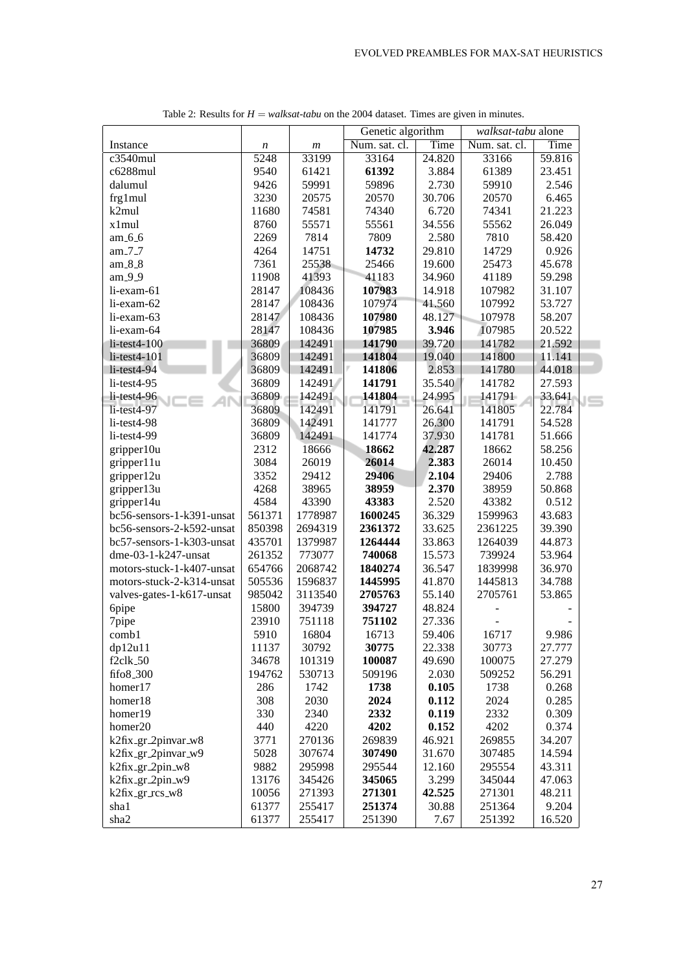|                           |        |                  | Genetic algorithm |        | walksat-tabu alone |        |  |
|---------------------------|--------|------------------|-------------------|--------|--------------------|--------|--|
| Instance                  | n      | $\boldsymbol{m}$ | Num. sat. cl.     | Time   | Num. sat. cl.      | Time   |  |
| c3540mul                  | 5248   | 33199            | 33164             | 24.820 | 33166              | 59.816 |  |
| c6288mul                  | 9540   | 61421            | 61392             | 3.884  | 61389              | 23.451 |  |
| dalumul                   | 9426   | 59991            | 59896             | 2.730  | 59910              | 2.546  |  |
| frg1mul                   | 3230   | 20575            | 20570             | 30.706 | 20570              | 6.465  |  |
| k2mul                     | 11680  | 74581            | 74340             | 6.720  | 74341              | 21.223 |  |
| x1mul                     | 8760   | 55571            | 55561             | 34.556 | 55562              | 26.049 |  |
| am 6.6                    | 2269   | 7814             | 7809              | 2.580  | 7810               | 58.420 |  |
| am 7.7                    | 4264   | 14751            | 14732             | 29.810 | 14729              | 0.926  |  |
| am_8_8                    | 7361   | 25538            | 25466             | 19.600 | 25473              | 45.678 |  |
| am 9.9                    | 11908  | 41393            | 41183             | 34.960 | 41189              | 59.298 |  |
| li-exam-61                | 28147  | 108436           | 107983            | 14.918 | 107982             | 31.107 |  |
| li-exam-62                | 28147  | 108436           | 107974            | 41.560 | 107992             | 53.727 |  |
| li-exam-63                | 28147  | 108436           | 107980            | 48.127 | 107978             | 58.207 |  |
| li-exam-64                | 28147  | 108436           | 107985            | 3.946  | 107985             | 20.522 |  |
| $li$ -test $4-100$        | 36809  | 142491           | 141790            | 39.720 | 141782             | 21.592 |  |
| $li$ -test $4-101$        | 36809  | 142491           | 141804            | 19.040 | 141800             | 11.141 |  |
| $li$ -test $4-94$         | 36809  | 142491           | 141806            | 2.853  | 141780             | 44.018 |  |
| $li-test4-95$             | 36809  | 142491           | 141791            | 35.540 | 141782             | 27.593 |  |
| $li$ -test $4-96$         | 36809  | 142491           | 141804            | 24.995 | 141791             | 33.641 |  |
| li-test4-97               | 36809  | 142491           | 141791            | 26.641 | 141805             | 22.784 |  |
| li-test4-98               | 36809  | 142491           | 141777            | 26.300 | 141791             | 54.528 |  |
| $li-test4-99$             | 36809  | 142491           | 141774            | 37.930 | 141781             | 51.666 |  |
| gripper10u                | 2312   | 18666            | 18662             | 42.287 | 18662              | 58.256 |  |
| gripper11u                | 3084   | 26019            | 26014             | 2.383  | 26014              | 10.450 |  |
| gripper12u                | 3352   | 29412            | 29406             | 2.104  | 29406              | 2.788  |  |
| gripper13u                | 4268   | 38965            | 38959             | 2.370  | 38959              | 50.868 |  |
| gripper14u                | 4584   | 43390            | 43383             | 2.520  | 43382              | 0.512  |  |
| bc56-sensors-1-k391-unsat | 561371 | 1778987          | 1600245           | 36.329 | 1599963            | 43.683 |  |
| bc56-sensors-2-k592-unsat | 850398 | 2694319          | 2361372           | 33.625 | 2361225            | 39.390 |  |
| bc57-sensors-1-k303-unsat | 435701 | 1379987          | 1264444           | 33.863 | 1264039            | 44.873 |  |
| dme-03-1-k247-unsat       | 261352 | 773077           | 740068            | 15.573 | 739924             | 53.964 |  |
| motors-stuck-1-k407-unsat | 654766 | 2068742          | 1840274           | 36.547 | 1839998            | 36.970 |  |
| motors-stuck-2-k314-unsat | 505536 | 1596837          | 1445995           | 41.870 | 1445813            | 34.788 |  |
| valves-gates-1-k617-unsat | 985042 | 3113540          | 2705763           | 55.140 | 2705761            | 53.865 |  |
| 6pipe                     | 15800  | 394739           | 394727            | 48.824 |                    |        |  |
| 7pipe                     | 23910  | 751118           | 751102            | 27.336 |                    |        |  |
| comb1                     | 5910   | 16804            | 16713             | 59.406 | 16717              | 9.986  |  |
| dp12u11                   | 11137  | 30792            | 30775             | 22.338 | 30773              | 27.777 |  |
| $f2$ clk $-50$            | 34678  | 101319           | 100087            | 49.690 | 100075             | 27.279 |  |
| fifo8_300                 | 194762 | 530713           | 509196            | 2.030  | 509252             | 56.291 |  |
| homer17                   | 286    | 1742             | 1738              | 0.105  | 1738               | 0.268  |  |
| homer18                   | 308    | 2030             | 2024              | 0.112  | 2024               | 0.285  |  |
| homer19                   | 330    | 2340             | 2332              | 0.119  | 2332               | 0.309  |  |
| homer20                   | 440    | 4220             | 4202              | 0.152  | 4202               | 0.374  |  |
| k2fix_gr_2pinvar_w8       | 3771   | 270136           | 269839            | 46.921 | 269855             | 34.207 |  |
| k2fix_gr_2pinvar_w9       | 5028   | 307674           | 307490            | 31.670 | 307485             | 14.594 |  |
| k2fix_gr_2pin_w8          | 9882   | 295998           | 295544            | 12.160 | 295554             | 43.311 |  |
| k2fix_gr_2pin_w9          | 13176  | 345426           | 345065            | 3.299  | 345044             | 47.063 |  |
| k2fix_gr_rcs_w8           | 10056  | 271393           | 271301            | 42.525 | 271301             | 48.211 |  |
| sha1                      | 61377  | 255417           | 251374            | 30.88  | 251364             | 9.204  |  |
| sha2                      | 61377  | 255417           | 251390            | 7.67   | 251392             | 16.520 |  |

Table 2: Results for  $H = walksat-tabu$  on the 2004 dataset. Times are given in minutes.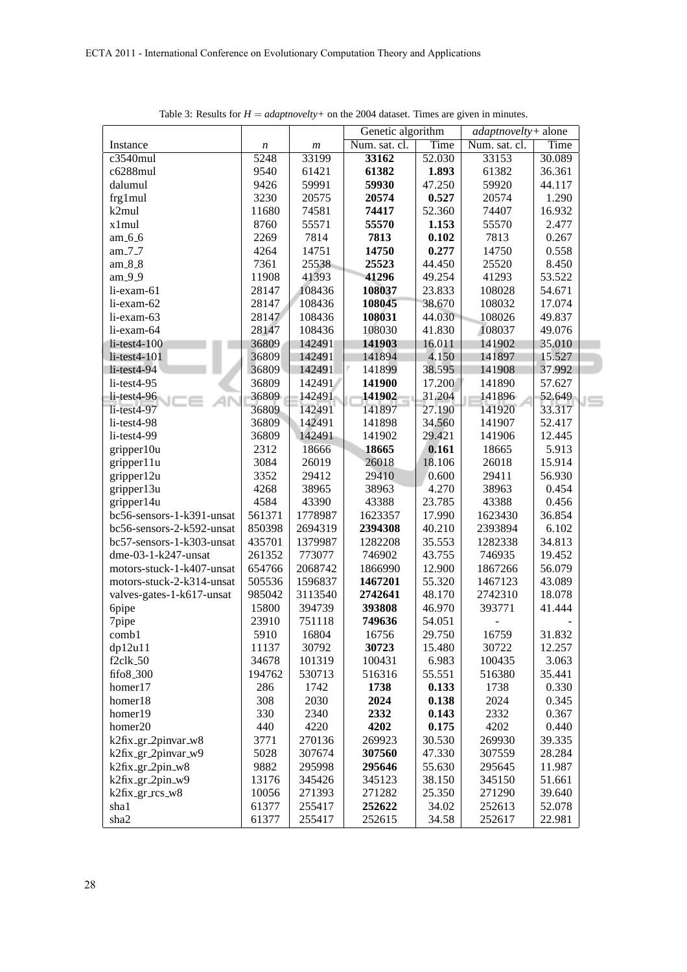|                           |                  |                  | Genetic algorithm | adaptnovelty+ alone |               |        |     |
|---------------------------|------------------|------------------|-------------------|---------------------|---------------|--------|-----|
| Instance                  | $\boldsymbol{n}$ | $\boldsymbol{m}$ | Num. sat. cl.     | Time                | Num. sat. cl. | Time   |     |
| c3540mul                  | 5248             | 33199            | 33162             | 52.030              | 33153         | 30.089 |     |
| c6288mul                  | 9540             | 61421            | 61382             | 1.893               | 61382         | 36.361 |     |
| dalumul                   | 9426             | 59991            | 59930             | 47.250              | 59920         | 44.117 |     |
| frg1mul                   | 3230             | 20575            | 20574             | 0.527               | 20574         | 1.290  |     |
| k2mul                     | 11680            | 74581            | 74417             | 52.360              | 74407         | 16.932 |     |
| x1mul                     | 8760             | 55571            | 55570             | 1.153               | 55570         | 2.477  |     |
| am 6.6                    | 2269             | 7814             | 7813              | 0.102               | 7813          | 0.267  |     |
| am 7.7                    | 4264             | 14751            | 14750             | 0.277               | 14750         | 0.558  |     |
| am_8_8                    | 7361             | 25538            | 25523             | 44.450              | 25520         | 8.450  |     |
| am 9.9                    | 11908            | 41393            | 41296             | 49.254              | 41293         | 53.522 |     |
| li-exam-61                | 28147            | 108436           | 108037            | 23.833              | 108028        | 54.671 |     |
| li-exam-62                | 28147            | 108436           | 108045            | 38.670              | 108032        | 17.074 |     |
| li-exam-63                | 28147            | 108436           | 108031            | 44.030              | 108026        | 49.837 |     |
| li-exam-64                | 28147            | 108436           | 108030            | 41.830              | 108037        | 49.076 |     |
| $li$ -test $4-100$        | 36809            | 142491           | 141903            | 16.011              | 141902        | 35.010 |     |
| $li$ -test $4-101$        | 36809            | 142491           | 141894            | 4.150               | 141897        | 15.527 |     |
| $li$ -test $4-94$         | 36809            | 142491           | 141899            | 38.595              | 141908        | 37.992 |     |
| li-test4-95               | 36809            | 142491           | 141900            | 17.200              | 141890        | 57.627 |     |
| $li$ -test $4-96$         | 36809            | 142491           | 141902            | 31.204              | 141896        | 52.649 |     |
| $li-test4-97$             | 36809            | 142491           | 141897            | 27.190              | 141920        | 33.317 | I — |
| li-test4-98               | 36809            | 142491           | 141898            | 34.560              | 141907        | 52.417 |     |
| li-test4-99               | 36809            | 142491           | 141902            | 29.421              | 141906        | 12.445 |     |
| gripper10u                | 2312             | 18666            | 18665             | 0.161               | 18665         | 5.913  |     |
| gripper11u                | 3084             | 26019            | 26018             | 18.106              | 26018         | 15.914 |     |
| gripper12u                | 3352             | 29412            | 29410             | 0.600               | 29411         | 56.930 |     |
| gripper13u                | 4268             | 38965            | 38963             | 4.270               | 38963         | 0.454  |     |
| gripper14u                | 4584             | 43390            | 43388             | 23.785              | 43388         | 0.456  |     |
| bc56-sensors-1-k391-unsat | 561371           | 1778987          | 1623357           | 17.990              | 1623430       | 36.854 |     |
| bc56-sensors-2-k592-unsat | 850398           | 2694319          | 2394308           | 40.210              | 2393894       | 6.102  |     |
| bc57-sensors-1-k303-unsat | 435701           | 1379987          | 1282208           | 35.553              | 1282338       | 34.813 |     |
| dme-03-1-k247-unsat       | 261352           | 773077           | 746902            | 43.755              | 746935        | 19.452 |     |
| motors-stuck-1-k407-unsat | 654766           | 2068742          | 1866990           | 12.900              | 1867266       | 56.079 |     |
| motors-stuck-2-k314-unsat | 505536           | 1596837          | 1467201           | 55.320              | 1467123       | 43.089 |     |
| valves-gates-1-k617-unsat | 985042           | 3113540          | 2742641           | 48.170              | 2742310       | 18.078 |     |
| 6pipe                     | 15800            | 394739           | 393808            | 46.970              | 393771        | 41.444 |     |
| 7pipe                     | 23910            | 751118           | 749636            | 54.051              |               |        |     |
| comb1                     | 5910             | 16804            | 16756             | 29.750              | 16759         | 31.832 |     |
| dp12u11                   | 11137            | 30792            | 30723             | 15.480              | 30722         | 12.257 |     |
| $f2c$ lk $50$             | 34678            | 101319           | 100431            | 6.983               | 100435        | 3.063  |     |
| fifo8_300                 | 194762           | 530713           | 516316            | 55.551              | 516380        | 35.441 |     |
| homer17                   | 286              | 1742             | 1738              | 0.133               | 1738          | 0.330  |     |
| homer18                   | 308              | 2030             | 2024              | 0.138               | 2024          | 0.345  |     |
| homer19                   | 330              | 2340             | 2332              | 0.143               | 2332          | 0.367  |     |
| homer20                   | 440              | 4220             | 4202              | 0.175               | 4202          | 0.440  |     |
| k2fix_gr_2pinvar_w8       | 3771             | 270136           | 269923            | 30.530              | 269930        | 39.335 |     |
| k2fix_gr_2pinvar_w9       | 5028             | 307674           | 307560            | 47.330              | 307559        | 28.284 |     |
| k2fix_gr_2pin_w8          | 9882             | 295998           | 295646            | 55.630              | 295645        | 11.987 |     |
| k2fix_gr_2pin_w9          | 13176            | 345426           | 345123            | 38.150              | 345150        | 51.661 |     |
| k2fix_gr_rcs_w8           | 10056            | 271393           | 271282            | 25.350              | 271290        | 39.640 |     |
| sha1                      | 61377            | 255417           | 252622            | 34.02               | 252613        | 52.078 |     |
| sha2                      | 61377            | 255417           | 252615            | 34.58               | 252617        | 22.981 |     |
|                           |                  |                  |                   |                     |               |        |     |

Table 3: Results for  $H = adaptnovelty +$  on the 2004 dataset. Times are given in minutes.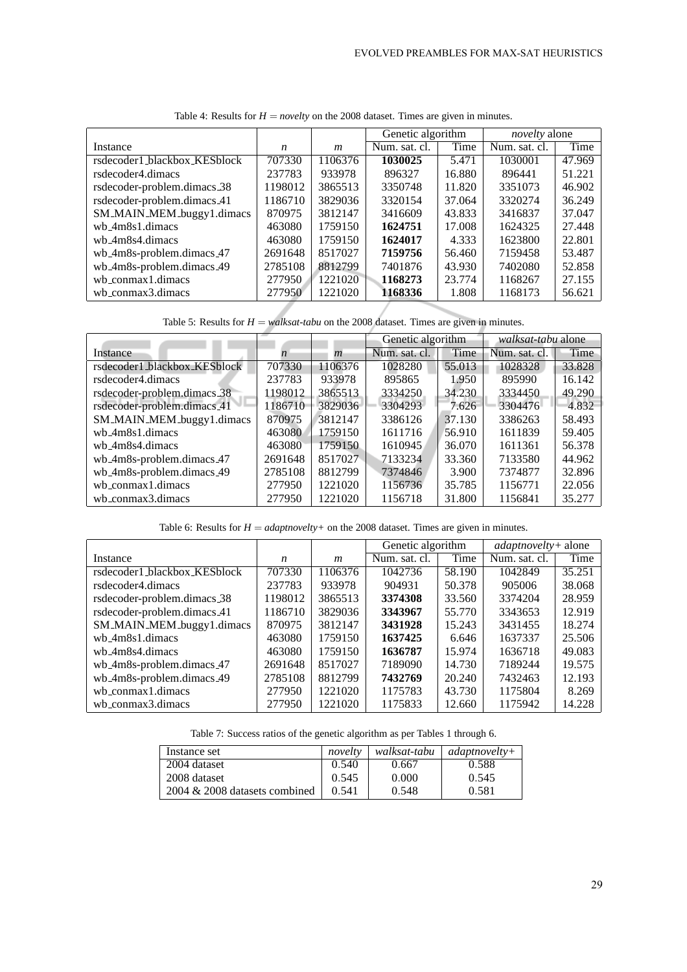|                              |         |         | Genetic algorithm |        | <i>novelty</i> alone |        |
|------------------------------|---------|---------|-------------------|--------|----------------------|--------|
| Instance                     | n       | m       | Num. sat. cl.     | Time   | Num. sat. cl.        | Time   |
| rsdecoder1_blackbox_KESblock | 707330  | 1106376 | 1030025           | 5.471  | 1030001              | 47.969 |
| rsdecoder4.dimacs            | 237783  | 933978  | 896327            | 16.880 | 896441               | 51.221 |
| rsdecoder-problem.dimacs_38  | 1198012 | 3865513 | 3350748           | 11.820 | 3351073              | 46.902 |
| rsdecoder-problem.dimacs 41  | 1186710 | 3829036 | 3320154           | 37.064 | 3320274              | 36.249 |
| SM_MAIN_MEM_buggy1.dimacs    | 870975  | 3812147 | 3416609           | 43.833 | 3416837              | 37.047 |
| wb_4m8s1.dimacs              | 463080  | 1759150 | 1624751           | 17.008 | 1624325              | 27.448 |
| wh_4m8s4.dimacs              | 463080  | 1759150 | 1624017           | 4.333  | 1623800              | 22.801 |
| wb_4m8s-problem.dimacs_47    | 2691648 | 8517027 | 7159756           | 56.460 | 7159458              | 53.487 |
| wb_4m8s-problem.dimacs_49    | 2785108 | 8812799 | 7401876           | 43.930 | 7402080              | 52.858 |
| wh_conmax1.dimacs            | 277950  | 1221020 | 1168273           | 23.774 | 1168267              | 27.155 |
| wb_conmax3.dimacs            | 277950  | 1221020 | 1168336           | 1.808  | 1168173              | 56.621 |

Table 4: Results for  $H =$  *novelty* on the 2008 dataset. Times are given in minutes.

Table 5: Results for  $H = walksat-tabu$  on the 2008 dataset. Times are given in minutes.

|                              |         |                  | Genetic algorithm |        | <i>walksat-tabu</i> alone |        |
|------------------------------|---------|------------------|-------------------|--------|---------------------------|--------|
| Instance                     | n       | $\boldsymbol{m}$ | Num. sat. cl.     | Time   | Num. sat. cl.             | Time   |
| rsdecoder1_blackbox_KESblock | 707330  | 1106376          | 1028280           | 55.013 | 1028328                   | 33.828 |
| rsdecoder4.dimacs            | 237783  | 933978           | 895865            | 1.950  | 895990                    | 16.142 |
| rsdecoder-problem.dimacs_38  | 1198012 | 3865513          | 3334250           | 34.230 | 3334450                   | 49.290 |
| rsdecoder-problem.dimacs.41  | 1186710 | 3829036          | 3304293           | 7.626  | 3304476                   | 4.832  |
| SM_MAIN_MEM_buggy1.dimacs    | 870975  | 3812147          | 3386126           | 37.130 | 3386263                   | 58.493 |
| wb_4m8s1.dimacs              | 463080  | 1759150          | 1611716           | 56.910 | 1611839                   | 59.405 |
| wh_4m8s4.dimacs              | 463080  | 1759150          | 1610945           | 36.070 | 1611361                   | 56.378 |
| wb 4m8s-problem.dimacs 47    | 2691648 | 8517027          | 7133234           | 33.360 | 7133580                   | 44.962 |
| wb_4m8s-problem.dimacs_49    | 2785108 | 8812799          | 7374846           | 3.900  | 7374877                   | 32.896 |
| wb_conmax1.dimacs            | 277950  | 1221020          | 1156736           | 35.785 | 1156771                   | 22.056 |
| wb_conmax3.dimacs            | 277950  | 1221020          | 1156718           | 31.800 | 1156841                   | 35.277 |

Table 6: Results for  $H = adaptnovelty +$  on the 2008 dataset. Times are given in minutes.

|                              |         |         | Genetic algorithm |        | <i>adaptnovelty</i> + alone |        |
|------------------------------|---------|---------|-------------------|--------|-----------------------------|--------|
| Instance                     | n       | m       | Num. sat. cl.     | Time   | Num. sat. cl.               | Time   |
| rsdecoder1_blackbox_KESblock | 707330  | 1106376 | 1042736           | 58.190 | 1042849                     | 35.251 |
| rsdecoder4.dimacs            | 237783  | 933978  | 904931            | 50.378 | 905006                      | 38.068 |
| rsdecoder-problem.dimacs_38  | 1198012 | 3865513 | 3374308           | 33.560 | 3374204                     | 28.959 |
| rsdecoder-problem.dimacs 41  | 1186710 | 3829036 | 3343967           | 55.770 | 3343653                     | 12.919 |
| SM_MAIN_MEM_buggy1.dimacs    | 870975  | 3812147 | 3431928           | 15.243 | 3431455                     | 18.274 |
| wh_4m8s1.dimacs              | 463080  | 1759150 | 1637425           | 6.646  | 1637337                     | 25.506 |
| wb_4m8s4.dimacs              | 463080  | 1759150 | 1636787           | 15.974 | 1636718                     | 49.083 |
| wb_4m8s-problem.dimacs_47    | 2691648 | 8517027 | 7189090           | 14.730 | 7189244                     | 19.575 |
| wb_4m8s-problem.dimacs_49    | 2785108 | 8812799 | 7432769           | 20.240 | 7432463                     | 12.193 |
| wh_conmax1.dimacs            | 277950  | 1221020 | 1175783           | 43.730 | 1175804                     | 8.269  |
| wb_conmax3.dimacs            | 277950  | 1221020 | 1175833           | 12.660 | 1175942                     | 14.228 |

| Instance set                  | novelty | walksat-tabu | $adaphoveltv+$ |
|-------------------------------|---------|--------------|----------------|
| 2004 dataset                  | 0.540   | 0.667        | 0.588          |
| 2008 dataset                  | 0.545   | 0.000        | 0.545          |
| 2004 & 2008 datasets combined | 0.541   | 0.548        | 0.581          |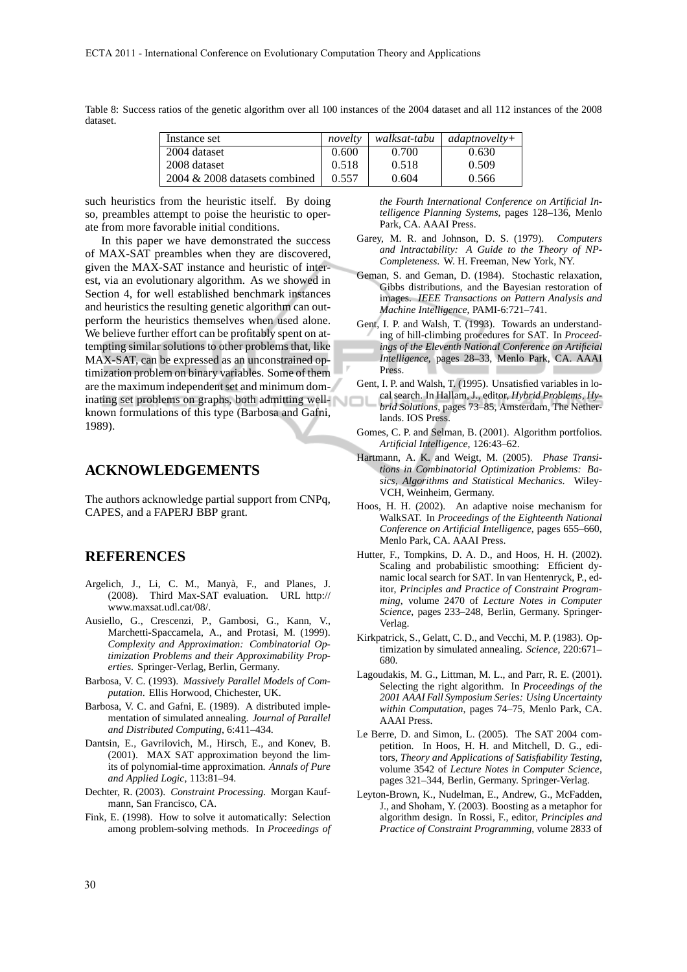| Instance set                     | novelty | walksat-tabu | $adaphoveltv+$ |
|----------------------------------|---------|--------------|----------------|
| 2004 dataset                     | 0.600   | 0.700        | 0.630          |
| 2008 dataset                     | 0.518   | 0.518        | 0.509          |
| $2004 \& 2008$ datasets combined | 0.557   | 0.604        | 0.566          |

Table 8: Success ratios of the genetic algorithm over all 100 instances of the 2004 dataset and all 112 instances of the 2008 dataset.

such heuristics from the heuristic itself. By doing so, preambles attempt to poise the heuristic to operate from more favorable initial conditions.

In this paper we have demonstrated the success of MAX-SAT preambles when they are discovered, given the MAX-SAT instance and heuristic of interest, via an evolutionary algorithm. As we showed in Section 4, for well established benchmark instances and heuristics the resulting genetic algorithm can outperform the heuristics themselves when used alone. We believe further effort can be profitably spent on attempting similar solutions to other problems that, like MAX-SAT, can be expressed as an unconstrained optimization problem on binary variables. Some of them are the maximum independent set and minimum dominating set problems on graphs, both admitting wellknown formulations of this type (Barbosa and Gafni, 1989).

#### **ACKNOWLEDGEMENTS**

The authors acknowledge partial support from CNPq, CAPES, and a FAPERJ BBP grant.

## **REFERENCES**

- Argelich, J., Li, C. M., Manyà, F., and Planes, J. (2008). Third Max-SAT evaluation. URL http:// www.maxsat.udl.cat/08/.
- Ausiello, G., Crescenzi, P., Gambosi, G., Kann, V., Marchetti-Spaccamela, A., and Protasi, M. (1999). *Complexity and Approximation: Combinatorial Optimization Problems and their Approximability Properties*. Springer-Verlag, Berlin, Germany.
- Barbosa, V. C. (1993). *Massively Parallel Models of Computation*. Ellis Horwood, Chichester, UK.
- Barbosa, V. C. and Gafni, E. (1989). A distributed implementation of simulated annealing. *Journal of Parallel and Distributed Computing*, 6:411–434.
- Dantsin, E., Gavrilovich, M., Hirsch, E., and Konev, B. (2001). MAX SAT approximation beyond the limits of polynomial-time approximation. *Annals of Pure and Applied Logic*, 113:81–94.
- Dechter, R. (2003). *Constraint Processing*. Morgan Kaufmann, San Francisco, CA.
- Fink, E. (1998). How to solve it automatically: Selection among problem-solving methods. In *Proceedings of*

*the Fourth International Conference on Artificial Intelligence Planning Systems*, pages 128–136, Menlo Park, CA. AAAI Press.

- Garey, M. R. and Johnson, D. S. (1979). *Computers and Intractability: A Guide to the Theory of NP-Completeness*. W. H. Freeman, New York, NY.
- Geman, S. and Geman, D. (1984). Stochastic relaxation, Gibbs distributions, and the Bayesian restoration of images. *IEEE Transactions on Pattern Analysis and Machine Intelligence*, PAMI-6:721–741.
- Gent, I. P. and Walsh, T. (1993). Towards an understanding of hill-climbing procedures for SAT. In *Proceedings of the Eleventh National Conference on Artificial Intelligence*, pages 28–33, Menlo Park, CA. AAAI Press.
- Gent, I. P. and Walsh, T. (1995). Unsatisfied variables in local search. In Hallam, J., editor, *Hybrid Problems, Hy-*
- *brid Solutions*, pages 73–85, Amsterdam, The Netherlands. IOS Press.
- Gomes, C. P. and Selman, B. (2001). Algorithm portfolios. *Artificial Intelligence*, 126:43–62.
- Hartmann, A. K. and Weigt, M. (2005). *Phase Transitions in Combinatorial Optimization Problems: Basics, Algorithms and Statistical Mechanics*. Wiley-VCH, Weinheim, Germany.
- Hoos, H. H. (2002). An adaptive noise mechanism for WalkSAT. In *Proceedings of the Eighteenth National Conference on Artificial Intelligence*, pages 655–660, Menlo Park, CA. AAAI Press.
- Hutter, F., Tompkins, D. A. D., and Hoos, H. H. (2002). Scaling and probabilistic smoothing: Efficient dynamic local search for SAT. In van Hentenryck, P., editor, *Principles and Practice of Constraint Programming*, volume 2470 of *Lecture Notes in Computer Science*, pages 233–248, Berlin, Germany. Springer-Verlag.
- Kirkpatrick, S., Gelatt, C. D., and Vecchi, M. P. (1983). Optimization by simulated annealing. *Science*, 220:671– 680.
- Lagoudakis, M. G., Littman, M. L., and Parr, R. E. (2001). Selecting the right algorithm. In *Proceedings of the 2001 AAAI Fall Symposium Series: Using Uncertainty within Computation*, pages 74–75, Menlo Park, CA. AAAI Press.
- Le Berre, D. and Simon, L. (2005). The SAT 2004 competition. In Hoos, H. H. and Mitchell, D. G., editors, *Theory and Applications of Satisfiability Testing*, volume 3542 of *Lecture Notes in Computer Science*, pages 321–344, Berlin, Germany. Springer-Verlag.
- Leyton-Brown, K., Nudelman, E., Andrew, G., McFadden, J., and Shoham, Y. (2003). Boosting as a metaphor for algorithm design. In Rossi, F., editor, *Principles and Practice of Constraint Programming*, volume 2833 of